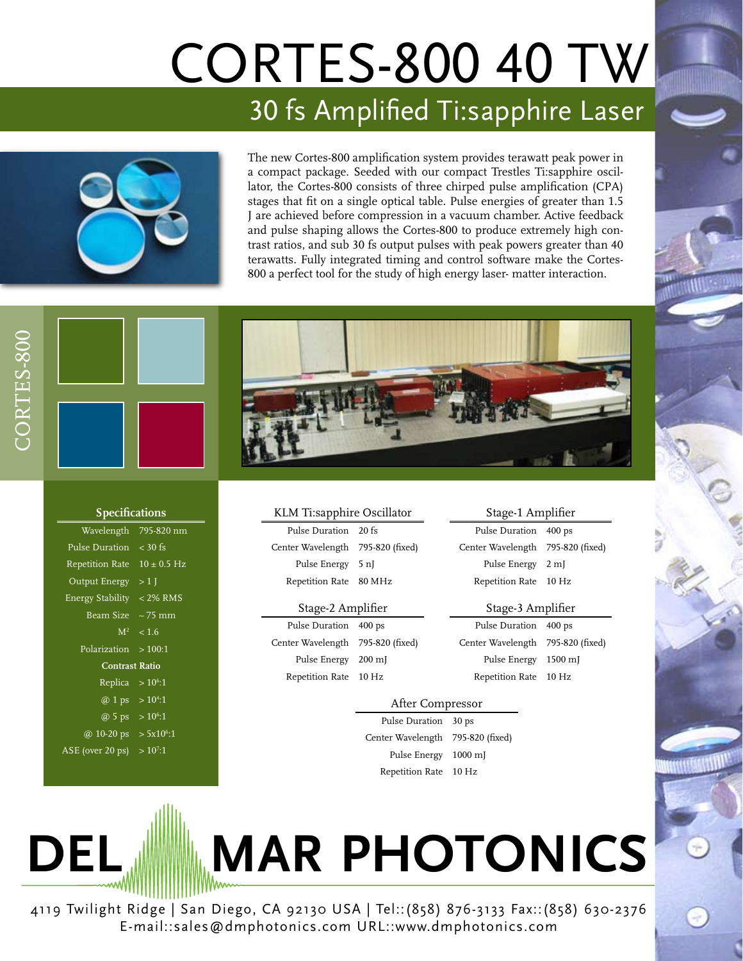# CORTES-800 40 TW 30 fs Amplified Ti:sapphire Laser



The new Cortes-800 amplification system provides terawatt peak power in a compact package. Seeded with our compact Trestles Ti:sapphire oscillator, the Cortes-800 consists of three chirped pulse amplification (CPA) stages that fit on a single optical table. Pulse energies of greater than 1.5 J are achieved before compression in a vacuum chamber. Active feedback and pulse shaping allows the Cortes-800 to produce extremely high contrast ratios, and sub 30 fs output pulses with peak powers greater than 40 terawatts. Fully integrated timing and control software make the Cortes-800 a perfect tool for the study of high energy laser- matter interaction.



| <b>Specifications</b>           |             |  |
|---------------------------------|-------------|--|
| Wavelength                      | 795-820 nm  |  |
| Pulse Duration $\sim$ 30 fs     |             |  |
| Repetition Rate $10 \pm 0.5$ Hz |             |  |
| Output Energy $>1$ J            |             |  |
| Energy Stability < 2% RMS       |             |  |
| Beam Size $\sim$ 75 mm          |             |  |
|                                 | $M^2$ < 1.6 |  |
| Polarization $>100:1$           |             |  |
| <b>Contrast Ratio</b>           |             |  |
| Replica                         | $>10^6:1$   |  |
| @ 1 ps > $10^{4}:1$             |             |  |
| @ 5 ps > $10^6:1$               |             |  |
| @ 10-20 ps > $5x10^{6}:1$       |             |  |
| ASE (over 20 ps) $> 10^7:1$     |             |  |
|                                 |             |  |

|  | KLM Ti:sapphire Oscillator |  |
|--|----------------------------|--|
|--|----------------------------|--|

| Pulse Duration 20 fs              |  |
|-----------------------------------|--|
| Center Wavelength 795-820 (fixed) |  |
| Pulse Energy 5 nJ                 |  |
| Repetition Rate 80 MHz            |  |

#### Stage-2 Amplifier

Pulse Duration 400 ps Center Wavelength 795-820 (fixed) Pulse Energy 200 mJ Repetition Rate 10 Hz

Stage-1 Amplifier Pulse Duration 400 ps Center Wavelength 795-820 (fixed) Pulse Energy 2 mJ Repetition Rate 10 Hz

### Stage-3 Amplifier

Pulse Duration 400 ps Center Wavelength 795-820 (fixed) Pulse Energy 1500 mJ Repetition Rate 10 Hz

## After Compressor

Pulse Duration 30 ps Center Wavelength 795-820 (fixed) Pulse Energy 1000 mJ Repetition Rate 10 Hz

**DEL <b>MAR** PHOTONICS

4119 Twilight Ridge | San Diego, CA 92130 USA | Tel::(858) 876-3133 Fax::(858) 630-2376 E-mail::sales@dmphotonics.com URL::www.dmphotonics.com